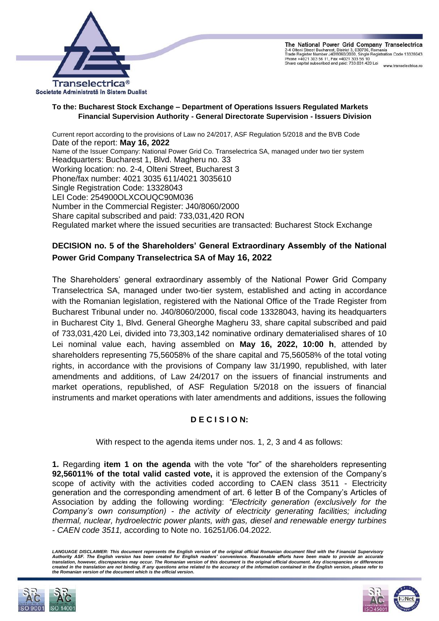

The National Power Grid Company Transelectrica 2-4 Olteni Street Bucharest, District 3, 030786, Romania<br>Trade Register Number J40/8060/2000, Single Registration Code 13328043 Phone +4021 303 56 11, Fax +4021 303 56 10 Share capital subscribed and paid: 733.031.420 Lei www.transelectrica.com

## **To the: Bucharest Stock Exchange – Department of Operations Issuers Regulated Markets Financial Supervision Authority - General Directorate Supervision - Issuers Division**

Current report according to the provisions of Law no 24/2017, ASF Regulation 5/2018 and the BVB Code Date of the report: **May 16, 2022** Name of the Issuer Company: National Power Grid Co. Transelectrica SA, managed under two tier system Headquarters: Bucharest 1, Blvd. Magheru no. 33 Working location: no. 2-4, Olteni Street, Bucharest 3 Phone/fax number: 4021 3035 611/4021 3035610 Single Registration Code: 13328043 LEI Code: 254900OLXCOUQC90M036 Number in the Commercial Register: J40/8060/2000 Share capital subscribed and paid: 733,031,420 RON Regulated market where the issued securities are transacted: Bucharest Stock Exchange

## **DECISION no. 5 of the Shareholders' General Extraordinary Assembly of the National Power Grid Company Transelectrica SA of May 16, 2022**

The Shareholders' general extraordinary assembly of the National Power Grid Company Transelectrica SA, managed under two-tier system, established and acting in accordance with the Romanian legislation, registered with the National Office of the Trade Register from Bucharest Tribunal under no. J40/8060/2000, fiscal code 13328043, having its headquarters in Bucharest City 1, Blvd. General Gheorghe Magheru 33, share capital subscribed and paid of 733,031,420 Lei, divided into 73,303,142 nominative ordinary dematerialised shares of 10 Lei nominal value each, having assembled on **May 16, 2022, 10:00 h**, attended by shareholders representing 75,56058% of the share capital and 75,56058% of the total voting rights, in accordance with the provisions of Company law 31/1990, republished, with later amendments and additions, of Law 24/2017 on the issuers of financial instruments and market operations, republished, of ASF Regulation 5/2018 on the issuers of financial instruments and market operations with later amendments and additions, issues the following

## **D E C I S I O N:**

With respect to the agenda items under nos. 1, 2, 3 and 4 as follows:

**1.** Regarding **item 1 on the agenda** with the vote "for" of the shareholders representing **92,56011% of the total valid casted vote,** it is approved the extension of the Company's scope of activity with the activities coded according to CAEN class 3511 - Electricity generation and the corresponding amendment of art. 6 letter B of the Company's Articles of Association by adding the following wording: *"Electricity generation (exclusively for the Company's own consumption) - the activity of electricity generating facilities; including thermal, nuclear, hydroelectric power plants, with gas, diesel and renewable energy turbines - CAEN code 3511,* according to Note no. 16251/06.04.2022.

LANGUAGE DISCLAIMER: This document represents the English version of the original official Romanian document filed with the Financial Supervisory<br>Authority ASF. The English version has been created for English readers' con *translation, however, discrepancies may occur. The Romanian version of this document is the original official document. Any discrepancies or differences created in the translation are not binding. If any questions arise related to the accuracy of the information contained in the English version, please refer to the Romanian version of the document which is the official version.*